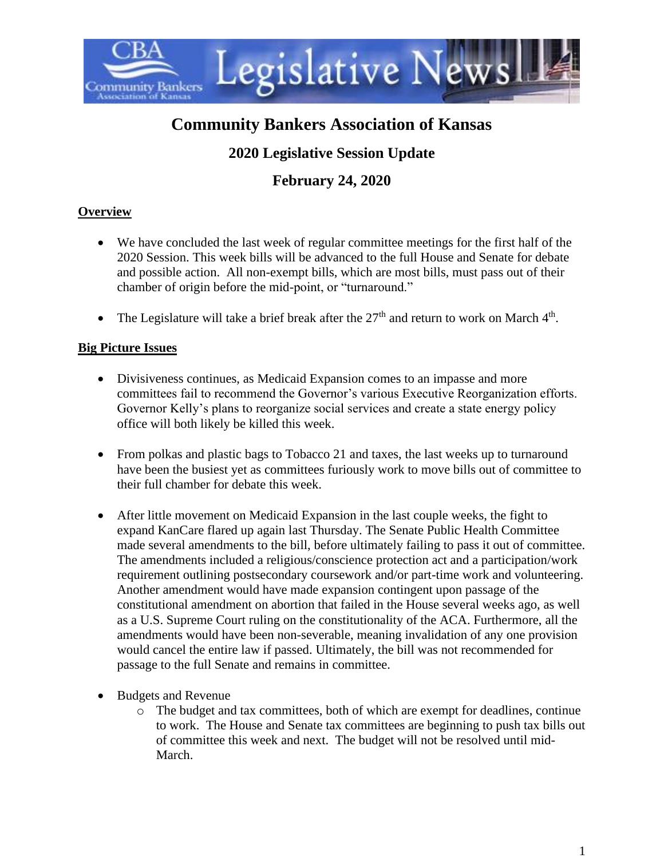

# **Community Bankers Association of Kansas**

# **2020 Legislative Session Update**

# **February 24, 2020**

# **Overview**

- We have concluded the last week of regular committee meetings for the first half of the 2020 Session. This week bills will be advanced to the full House and Senate for debate and possible action. All non-exempt bills, which are most bills, must pass out of their chamber of origin before the mid-point, or "turnaround."
- The Legislature will take a brief break after the  $27<sup>th</sup>$  and return to work on March  $4<sup>th</sup>$ .

# **Big Picture Issues**

- Divisiveness continues, as Medicaid Expansion comes to an impasse and more committees fail to recommend the Governor's various Executive Reorganization efforts. Governor Kelly's plans to reorganize social services and create a state energy policy office will both likely be killed this week.
- From polkas and plastic bags to Tobacco 21 and taxes, the last weeks up to turnaround have been the busiest yet as committees furiously work to move bills out of committee to their full chamber for debate this week.
- After little movement on Medicaid Expansion in the last couple weeks, the fight to expand KanCare flared up again last Thursday. The Senate Public Health Committee made several amendments to the bill, before ultimately failing to pass it out of committee. The amendments included a religious/conscience protection act and a participation/work requirement outlining postsecondary coursework and/or part-time work and volunteering. Another amendment would have made expansion contingent upon passage of the constitutional amendment on abortion that failed in the House several weeks ago, as well as a U.S. Supreme Court ruling on the constitutionality of the ACA. Furthermore, all the amendments would have been non-severable, meaning invalidation of any one provision would cancel the entire law if passed. Ultimately, the bill was not recommended for passage to the full Senate and remains in committee.
- Budgets and Revenue
	- o The budget and tax committees, both of which are exempt for deadlines, continue to work. The House and Senate tax committees are beginning to push tax bills out of committee this week and next. The budget will not be resolved until mid-March.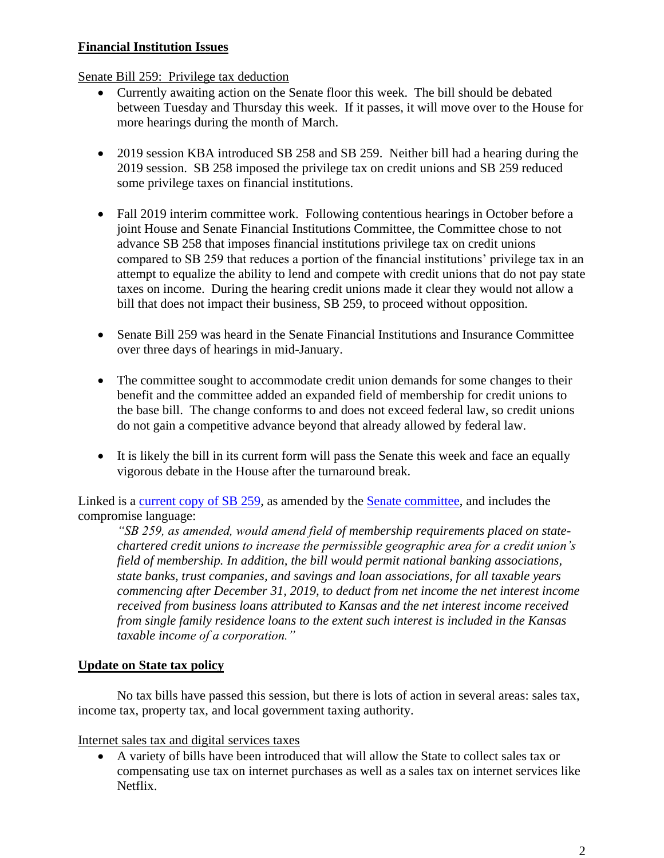## **Financial Institution Issues**

Senate Bill 259: Privilege tax deduction

- Currently awaiting action on the Senate floor this week. The bill should be debated between Tuesday and Thursday this week. If it passes, it will move over to the House for more hearings during the month of March.
- 2019 session KBA introduced SB 258 and SB 259. Neither bill had a hearing during the 2019 session. SB 258 imposed the privilege tax on credit unions and SB 259 reduced some privilege taxes on financial institutions.
- Fall 2019 interim committee work. Following contentious hearings in October before a joint House and Senate Financial Institutions Committee, the Committee chose to not advance SB 258 that imposes financial institutions privilege tax on credit unions compared to SB 259 that reduces a portion of the financial institutions' privilege tax in an attempt to equalize the ability to lend and compete with credit unions that do not pay state taxes on income. During the hearing credit unions made it clear they would not allow a bill that does not impact their business, SB 259, to proceed without opposition.
- Senate Bill 259 was heard in the Senate Financial Institutions and Insurance Committee over three days of hearings in mid-January.
- The committee sought to accommodate credit union demands for some changes to their benefit and the committee added an expanded field of membership for credit unions to the base bill. The change conforms to and does not exceed federal law, so credit unions do not gain a competitive advance beyond that already allowed by federal law.
- It is likely the bill in its current form will pass the Senate this week and face an equally vigorous debate in the House after the turnaround break.

Linked is a [current copy of SB 259,](http://www.kslegislature.org/li/b2019_20/measures/documents/sb259_01_0000.pdf) as amended by the [Senate committee,](http://www.kslegislature.org/li/b2019_20/committees/ctte_s_fin_inst_ins_1/) and includes the compromise language:

*"SB 259, as amended, would amend field of membership requirements placed on statechartered credit unions to increase the permissible geographic area for a credit union's field of membership. In addition, the bill would permit national banking associations, state banks, trust companies, and savings and loan associations, for all taxable years commencing after December 31, 2019, to deduct from net income the net interest income received from business loans attributed to Kansas and the net interest income received from single family residence loans to the extent such interest is included in the Kansas taxable income of a corporation."*

# **Update on State tax policy**

No tax bills have passed this session, but there is lots of action in several areas: sales tax, income tax, property tax, and local government taxing authority.

Internet sales tax and digital services taxes

• A variety of bills have been introduced that will allow the State to collect sales tax or compensating use tax on internet purchases as well as a sales tax on internet services like Netflix.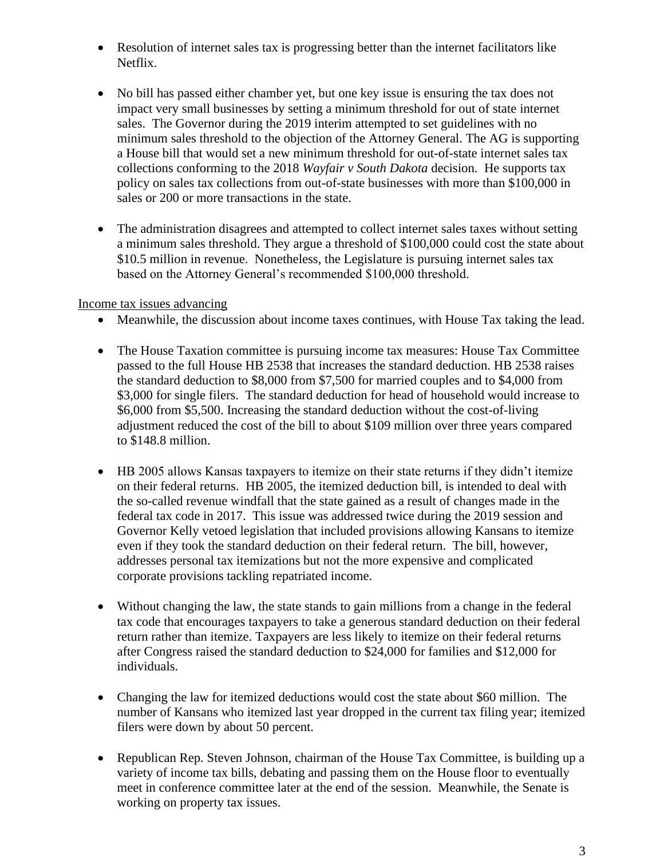- Resolution of internet sales tax is progressing better than the internet facilitators like Netflix.
- No bill has passed either chamber yet, but one key issue is ensuring the tax does not impact very small businesses by setting a minimum threshold for out of state internet sales. The Governor during the 2019 interim attempted to set guidelines with no minimum sales threshold to the objection of the Attorney General. The AG is supporting a House bill that would set a new minimum threshold for out-of-state internet sales tax collections conforming to the 2018 *Wayfair v South Dakota* decision. He supports tax policy on sales tax collections from out-of-state businesses with more than \$100,000 in sales or 200 or more transactions in the state.
- The administration disagrees and attempted to collect internet sales taxes without setting a minimum sales threshold. They argue a threshold of \$100,000 could cost the state about \$10.5 million in revenue. Nonetheless, the Legislature is pursuing internet sales tax based on the Attorney General's recommended \$100,000 threshold.

#### Income tax issues advancing

- Meanwhile, the discussion about income taxes continues, with House Tax taking the lead.
- The House Taxation committee is pursuing income tax measures: House Tax Committee passed to the full House HB 2538 that increases the standard deduction. HB 2538 raises the standard deduction to \$8,000 from \$7,500 for married couples and to \$4,000 from \$3,000 for single filers. The standard deduction for head of household would increase to \$6,000 from \$5,500. Increasing the standard deduction without the cost-of-living adjustment reduced the cost of the bill to about \$109 million over three years compared to \$148.8 million.
- HB 2005 allows Kansas taxpayers to itemize on their state returns if they didn't itemize on their federal returns. HB 2005, the itemized deduction bill, is intended to deal with the so-called revenue windfall that the state gained as a result of changes made in the federal tax code in 2017. This issue was addressed twice during the 2019 session and Governor Kelly vetoed legislation that included provisions allowing Kansans to itemize even if they took the standard deduction on their federal return. The bill, however, addresses personal tax itemizations but not the more expensive and complicated corporate provisions tackling repatriated income.
- Without changing the law, the state stands to gain millions from a change in the federal tax code that encourages taxpayers to take a generous standard deduction on their federal return rather than itemize. Taxpayers are less likely to itemize on their federal returns after Congress raised the standard deduction to \$24,000 for families and \$12,000 for individuals.
- Changing the law for itemized deductions would cost the state about \$60 million. The number of Kansans who itemized last year dropped in the current tax filing year; itemized filers were down by about 50 percent.
- Republican Rep. Steven Johnson, chairman of the House Tax Committee, is building up a variety of income tax bills, debating and passing them on the House floor to eventually meet in conference committee later at the end of the session. Meanwhile, the Senate is working on property tax issues.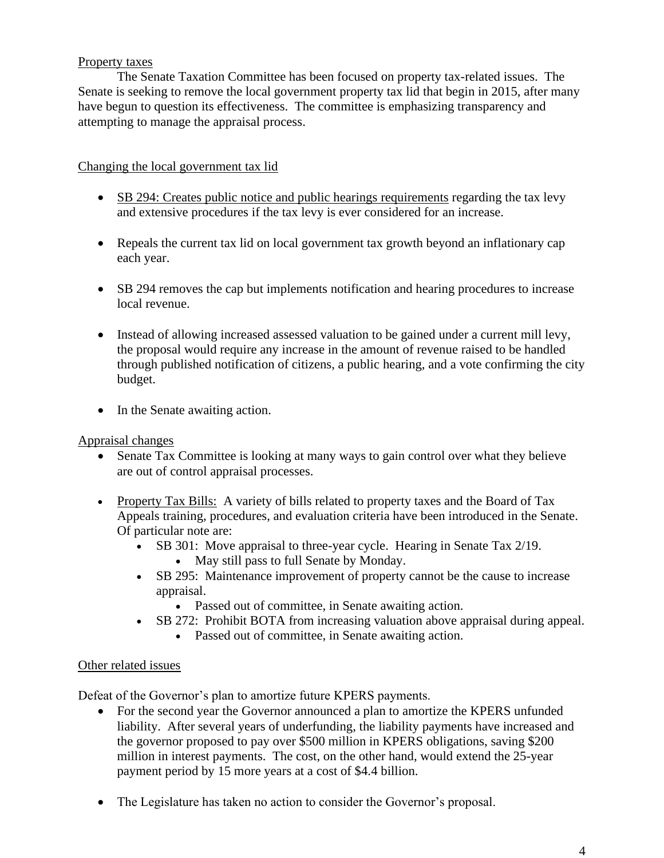### Property taxes

The Senate Taxation Committee has been focused on property tax-related issues. The Senate is seeking to remove the local government property tax lid that begin in 2015, after many have begun to question its effectiveness. The committee is emphasizing transparency and attempting to manage the appraisal process.

### Changing the local government tax lid

- SB 294: Creates public notice and public hearings requirements regarding the tax levy and extensive procedures if the tax levy is ever considered for an increase.
- Repeals the current tax lid on local government tax growth beyond an inflationary cap each year.
- SB 294 removes the cap but implements notification and hearing procedures to increase local revenue.
- Instead of allowing increased assessed valuation to be gained under a current mill levy, the proposal would require any increase in the amount of revenue raised to be handled through published notification of citizens, a public hearing, and a vote confirming the city budget.
- In the Senate awaiting action.

Appraisal changes

- Senate Tax Committee is looking at many ways to gain control over what they believe are out of control appraisal processes.
- Property Tax Bills: A variety of bills related to property taxes and the Board of Tax Appeals training, procedures, and evaluation criteria have been introduced in the Senate. Of particular note are:
	- SB 301: Move appraisal to three-year cycle. Hearing in Senate Tax 2/19.
		- May still pass to full Senate by Monday.
	- SB 295: Maintenance improvement of property cannot be the cause to increase appraisal.
		- Passed out of committee, in Senate awaiting action.
	- SB 272: Prohibit BOTA from increasing valuation above appraisal during appeal.
		- Passed out of committee, in Senate awaiting action.

### Other related issues

Defeat of the Governor's plan to amortize future KPERS payments.

- For the second year the Governor announced a plan to amortize the KPERS unfunded liability. After several years of underfunding, the liability payments have increased and the governor proposed to pay over \$500 million in KPERS obligations, saving \$200 million in interest payments. The cost, on the other hand, would extend the 25-year payment period by 15 more years at a cost of \$4.4 billion.
- The Legislature has taken no action to consider the Governor's proposal.